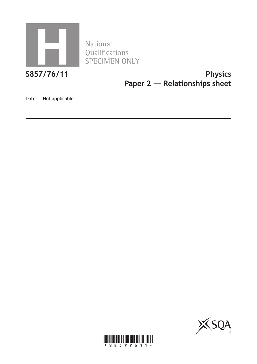

Qualifications SPECIMEN ONLY

## **S857/76/11 Physics Paper 2 — Relationships sheet**

Date — Not applicable



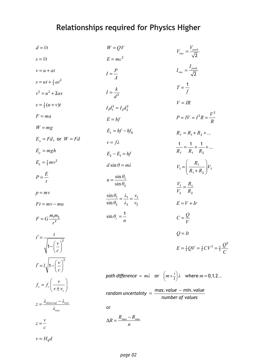# **Relationships required for Physics Higher**

| $d = \overline{v}t$                                              | $W = QV$                                                                              | $V_{rms} = \frac{V_{peak}}{\sqrt{2}}$                            |  |  |  |  |  |  |
|------------------------------------------------------------------|---------------------------------------------------------------------------------------|------------------------------------------------------------------|--|--|--|--|--|--|
| $s = \overline{v}t$                                              | $E = mc^2$                                                                            |                                                                  |  |  |  |  |  |  |
| $v = u + at$                                                     | $I=\frac{P}{4}$                                                                       | $I_{rms} = \frac{I_{peak}}{\sqrt{2}}$                            |  |  |  |  |  |  |
| $s = ut + \frac{1}{2}at^2$                                       |                                                                                       | $T=\frac{1}{f}$                                                  |  |  |  |  |  |  |
| $v^2 = u^2 + 2as$                                                | $I=\frac{k}{d^2}$                                                                     |                                                                  |  |  |  |  |  |  |
| $s = \frac{1}{2}(u + v)t$                                        | $I_1d_1^2 = I_2d_2^2$                                                                 | $V = IR$                                                         |  |  |  |  |  |  |
| $F = ma$                                                         | $E = hf$                                                                              | $P = IV = I^2 R = \frac{V^2}{R}$                                 |  |  |  |  |  |  |
| $W = mg$                                                         | $E_k = hf - hf_0$                                                                     | $R_r = R_1 + R_2 + $                                             |  |  |  |  |  |  |
| $E_w = Fd$ , or $W = Fd$                                         | $v = f\lambda$                                                                        |                                                                  |  |  |  |  |  |  |
| $E_p = mgh$                                                      | $E_2 - E_1 = hf$                                                                      | $rac{1}{R_{T}} = \frac{1}{R_{1}} + \frac{1}{R_{2}} + $           |  |  |  |  |  |  |
| $E_k = \frac{1}{2}mv^2$                                          | $d \sin \theta = m\lambda$                                                            | $V_1 = \left(\frac{R_1}{R_1 + R_2}\right) V_s$                   |  |  |  |  |  |  |
| $P = \frac{E}{t}$                                                | $n = \frac{\sin \theta_1}{\sin \theta_2}$                                             |                                                                  |  |  |  |  |  |  |
|                                                                  |                                                                                       | $\frac{V_1}{I_1} = \frac{R_1}{I_1}$<br>$V_2$ $R_2$               |  |  |  |  |  |  |
| $p = mv$                                                         | $\frac{\sin \theta_1}{\sin \theta_2} = \frac{\lambda_1}{\lambda_2} = \frac{v_1}{v_2}$ | $E = V + Ir$                                                     |  |  |  |  |  |  |
| $Ft = mv - mu$                                                   |                                                                                       |                                                                  |  |  |  |  |  |  |
| $F = G \frac{m_1 m_2}{r^2}$                                      | $\sin \theta_c = \frac{1}{n}$                                                         | $C=\frac{Q}{V}$                                                  |  |  |  |  |  |  |
| $t' = \frac{t}{\sqrt{t}}$                                        |                                                                                       | $Q = It$                                                         |  |  |  |  |  |  |
| $\sqrt{1-\left(\frac{v}{c}\right)^2}$                            |                                                                                       | $E = \frac{1}{2}QV = \frac{1}{2}CV^2 = \frac{1}{2}\frac{Q^2}{C}$ |  |  |  |  |  |  |
| $l' = l \sqrt{1 - \left(\frac{v}{c}\right)^2}$                   |                                                                                       |                                                                  |  |  |  |  |  |  |
|                                                                  | path difference = $m\lambda$ or $\left(m+\frac{1}{2}\right)\lambda$ where $m = 0,1,2$ |                                                                  |  |  |  |  |  |  |
| $f_o = f_s \left( \frac{v}{v \pm v_s} \right)$                   | random uncertainty $=$ $\frac{max. value - min. value}{number of values}$             |                                                                  |  |  |  |  |  |  |
| $z = \frac{\lambda_{observed} - \lambda_{rest}}{\lambda_{rest}}$ | or                                                                                    |                                                                  |  |  |  |  |  |  |
| $z = \frac{v}{c}$                                                | $\Delta R = \frac{R_{\text{max}} - R_{\text{min}}}{n}$                                |                                                                  |  |  |  |  |  |  |
| $v = H_0 d$                                                      |                                                                                       |                                                                  |  |  |  |  |  |  |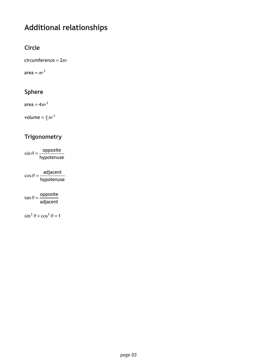## **Additional relationships**

#### **Circle**

 $circumference = 2\pi r$ 

area =  $\pi r^2$ 

#### **Sphere**

 $area = 4\pi r^2$ 

volume  $=$   $\frac{4}{3}\pi r^3$ 

### **Trigonometry**

 $\sin \theta = \frac{\text{opposite}}{\sqrt{\frac{1}{n}} \cdot \frac{1}{n}}$ hypotenuse  $\theta =$ 

 $\cos\theta = \frac{\text{adjacent}}{\sqrt{1-\frac{1}{2}}\theta}$ hypotenuse  $\theta =$ 

 $\tan \theta = \frac{\text{opposite}}{\text{in}}$ adjacent  $\theta =$ 

 $\sin^2 \theta + \cos^2 \theta = 1$